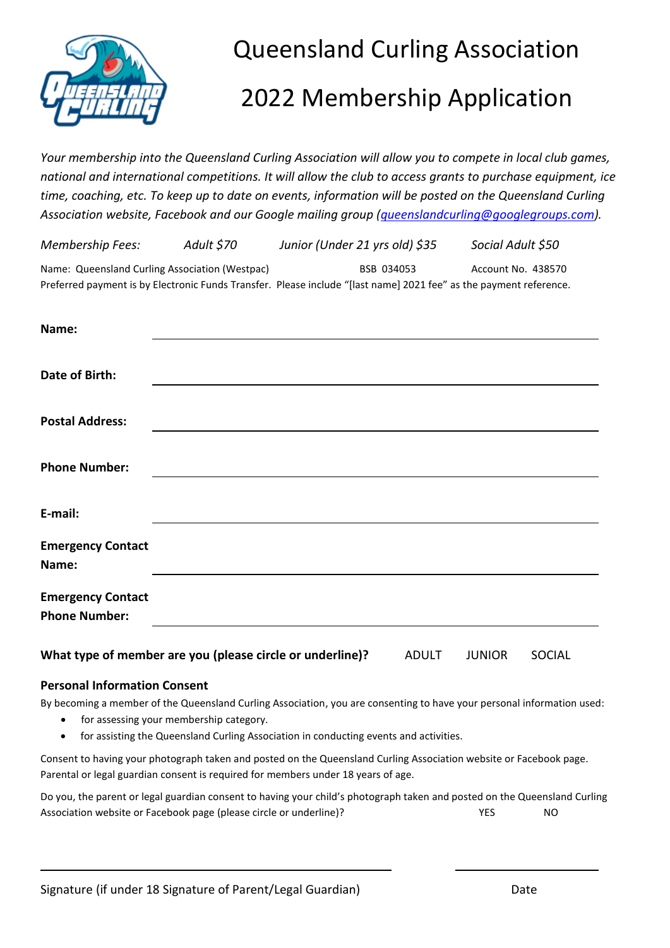

## Queensland Curling Association

# 2022 Membership Application

*Your membership into the Queensland Curling Association will allow you to compete in local club games, national and international competitions. It will allow the club to access grants to purchase equipment, ice time, coaching, etc. To keep up to date on events, information will be posted on the Queensland Curling Association website, Facebook and our Google mailing group [\(queenslandcurling@googlegroups.com\)](mailto:queenslandcurling@googlegroups.com).*

| <b>Membership Fees:</b>                                                                                            | Adult \$70 | Junior (Under 21 yrs old) \$35 | Social Adult \$50  |
|--------------------------------------------------------------------------------------------------------------------|------------|--------------------------------|--------------------|
| Name: Queensland Curling Association (Westpac)                                                                     |            | BSB 034053                     | Account No. 438570 |
| Preferred payment is by Electronic Funds Transfer. Please include "[last name] 2021 fee" as the payment reference. |            |                                |                    |

| Name:                    |  |
|--------------------------|--|
|                          |  |
| Date of Birth:           |  |
|                          |  |
| <b>Postal Address:</b>   |  |
|                          |  |
| <b>Phone Number:</b>     |  |
|                          |  |
| E-mail:                  |  |
|                          |  |
| <b>Emergency Contact</b> |  |
| Name:                    |  |
| <b>Emergency Contact</b> |  |
| <b>Phone Number:</b>     |  |
|                          |  |

## **What type of member are you (please circle or underline)?** ADULT JUNIOR SOCIAL

## **Personal Information Consent**

By becoming a member of the Queensland Curling Association, you are consenting to have your personal information used:

- for assessing your membership category.
- for assisting the Queensland Curling Association in conducting events and activities.

Consent to having your photograph taken and posted on the Queensland Curling Association website or Facebook page. Parental or legal guardian consent is required for members under 18 years of age.

Do you, the parent or legal guardian consent to having your child's photograph taken and posted on the Queensland Curling Association website or Facebook page (please circle or underline)? 
WES
WES